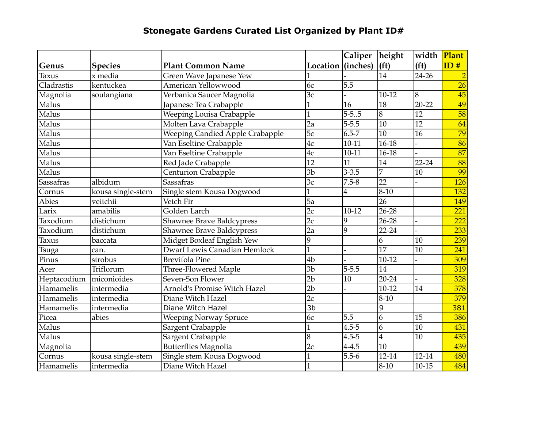## **Stonegate Gardens Curated List Organized by Plant ID#**

|                  |                   |                                  |                   | Caliper                 | height            | width             | Plant            |
|------------------|-------------------|----------------------------------|-------------------|-------------------------|-------------------|-------------------|------------------|
| Genus            | <b>Species</b>    | <b>Plant Common Name</b>         | Location (inches) |                         | (f <sup>t</sup> ) | (f <sup>t</sup> ) | ID#              |
| Taxus            | $x$ media         | Green Wave Japanese Yew          |                   |                         | $\overline{14}$   | $\frac{24-26}{ }$ | $\overline{2}$   |
| Cladrastis       | kentuckea         | American Yellowwood              | 6c                | 5.5                     |                   |                   | $\overline{26}$  |
| Magnolia         | soulangiana       | Verbanica Saucer Magnolia        | 3c                |                         | 10-12             | 8                 | 45               |
| Malus            |                   | Japanese Tea Crabapple           | 1                 | $\overline{16}$         | 18                | $20 - 22$         | 49               |
| Malus            |                   | Weeping Louisa Crabapple         |                   | $5 - 5.5$               | $\overline{8}$    | $\overline{12}$   | 58               |
| Malus            |                   | Molten Lava Crabapple            | 2a                | $5 - 5.5$               | $\overline{10}$   | 12                | 64               |
| Malus            |                   | Weeping Candied Apple Crabapple  | $\overline{5c}$   | $6.5 - 7$               | $\overline{10}$   | 16                | 79               |
| Malus            |                   | Van Eseltine Crabapple           | 4c                | $10-11$                 | $16 - 18$         |                   | $\overline{86}$  |
| Malus            |                   | Van Eseltine Crabapple           | 4c                | $10 - 11$               | 16-18             |                   | 87               |
| Malus            |                   | Red Jade Crabapple               | 12                | 11                      | 14                | 22-24             | 88               |
| Malus            |                   | Centurion Crabapple              | $\overline{3b}$   | $3 - 3.5$               | $\overline{7}$    | 10                | 99               |
| <b>Sassafras</b> | albidum           | <b>Sassafras</b>                 | 3c                | $7.5 - 8$               | $\overline{22}$   |                   | 126              |
| Cornus           | kousa single-stem | Single stem Kousa Dogwood        |                   | $\overline{\mathbf{4}}$ | $8-10$            |                   | 132              |
| <b>Abies</b>     | veitchii          | Vetch Fir                        | $\overline{5a}$   |                         | 26                |                   | 149              |
| $L$ arix         | amabilis          | Golden Larch                     | $\overline{2c}$   | $10-12$                 | $26 - 28$         |                   | 221              |
| Taxodium         | distichum         | <b>Shawnee Brave Baldcypress</b> | 2c                | $\overline{9}$          | $26 - 28$         |                   | 222              |
| Taxodium         | distichum         | Shawnee Brave Baldcypress        | 2a                | $\overline{9}$          | 22-24             |                   | 233              |
| Taxus            | baccata           | Midget Boxleaf English Yew       | 9                 |                         | 6                 | 10                | 239              |
| Tsuga            | can.              | Dwarf Lewis Canadian Hemlock     |                   |                         | $\overline{17}$   | $\overline{10}$   | $\overline{241}$ |
| Pinus            | strobus           | <b>Brevifola Pine</b>            | 4 <sub>b</sub>    |                         | $10-12$           |                   | 309              |
| Acer             | Triflorum         | Three-Flowered Maple             | $\overline{3b}$   | $5 - 5.5$               | $\overline{14}$   |                   | 319              |
| Heptacodium      | miconioides       | Seven-Son Flower                 | 2 <sub>b</sub>    | 10                      | 20-24             |                   | 328              |
| Hamamelis        | intermedia        | Arnold's Promise Witch Hazel     | $\overline{2b}$   |                         | $10-12$           | 14                | 378              |
| Hamamelis        | intermedia        | Diane Witch Hazel                | 2c                |                         | $8 - 10$          |                   | 379              |
| Hamamelis        | intermedia        | Diane Witch Hazel                | $\overline{3b}$   |                         | 9                 |                   | 381              |
| Picea            | abies             | Weeping Norway Spruce            | 6c                | 5.5                     | 6                 | 15                | 386              |
| Malus            |                   | Sargent Crabapple                |                   | $4.5 - 5$               | 6                 | 10                | 431              |
| Malus            |                   | Sargent Crabapple                | 8                 | $4.5 - 5$               | $\boldsymbol{4}$  | 10                | 435              |
| Magnolia         |                   | <b>Butterflies Magnolia</b>      | $\overline{2c}$   | $4 - 4.5$               | $\overline{10}$   |                   | 439              |
| Cornus           | kousa single-stem | Single stem Kousa Dogwood        |                   | $5.5 - 6$               | $12 - 14$         | 12-14             | 480              |
| Hamamelis        | intermedia        | Diane Witch Hazel                |                   |                         | $8 - 10$          | $10 - 15$         | 484              |